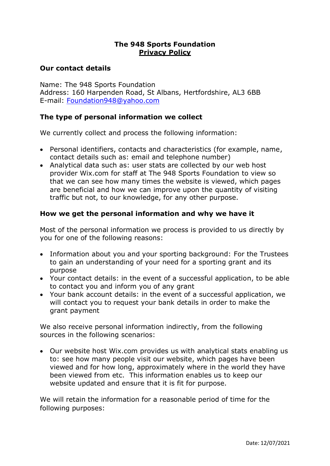# **The 948 Sports Foundation Privacy Policy**

# **Our contact details**

Name: The 948 Sports Foundation Address: 160 Harpenden Road, St Albans, Hertfordshire, AL3 6BB E-mail: [Foundation948@yahoo.com](mailto:Foundation948@yahoo.com)

# **The type of personal information we collect**

We currently collect and process the following information:

- Personal identifiers, contacts and characteristics (for example, name, contact details such as: email and telephone number)
- Analytical data such as: user stats are collected by our web host provider Wix.com for staff at The 948 Sports Foundation to view so that we can see how many times the website is viewed, which pages are beneficial and how we can improve upon the quantity of visiting traffic but not, to our knowledge, for any other purpose.

# **How we get the personal information and why we have it**

Most of the personal information we process is provided to us directly by you for one of the following reasons:

- Information about you and your sporting background: For the Trustees to gain an understanding of your need for a sporting grant and its purpose
- Your contact details: in the event of a successful application, to be able to contact you and inform you of any grant
- Your bank account details: in the event of a successful application, we will contact you to request your bank details in order to make the grant payment

We also receive personal information indirectly, from the following sources in the following scenarios:

• Our website host Wix.com provides us with analytical stats enabling us to: see how many people visit our website, which pages have been viewed and for how long, approximately where in the world they have been viewed from etc. This information enables us to keep our website updated and ensure that it is fit for purpose.

We will retain the information for a reasonable period of time for the following purposes: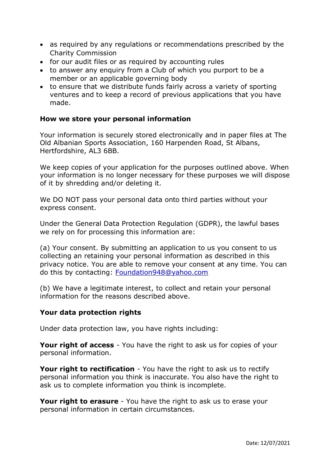- as required by any regulations or recommendations prescribed by the Charity Commission
- for our audit files or as required by accounting rules
- to answer any enquiry from a Club of which you purport to be a member or an applicable governing body
- to ensure that we distribute funds fairly across a variety of sporting ventures and to keep a record of previous applications that you have made.

# **How we store your personal information**

Your information is securely stored electronically and in paper files at The Old Albanian Sports Association, 160 Harpenden Road, St Albans, Hertfordshire, AL3 6BB.

We keep copies of your application for the purposes outlined above. When your information is no longer necessary for these purposes we will dispose of it by shredding and/or deleting it.

We DO NOT pass your personal data onto third parties without your express consent.

Under the General Data Protection Regulation (GDPR), the lawful bases we rely on for processing this information are:

(a) Your consent. By submitting an application to us you consent to us collecting an retaining your personal information as described in this privacy notice. You are able to remove your consent at any time. You can do this by contacting: [Foundation948@yahoo.com](mailto:Foundation948@yahoo.com)

(b) We have a legitimate interest, to collect and retain your personal information for the reasons described above.

### **Your data protection rights**

Under data protection law, you have rights including:

**Your right of access** - You have the right to ask us for copies of your personal information.

**Your right to rectification** - You have the right to ask us to rectify personal information you think is inaccurate. You also have the right to ask us to complete information you think is incomplete.

**Your right to erasure** - You have the right to ask us to erase your personal information in certain circumstances.